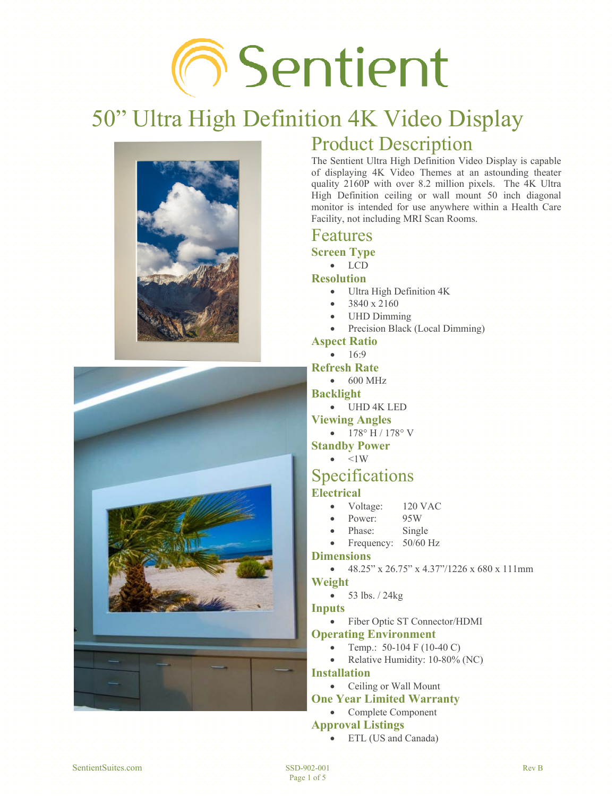# **6** Sentient

## 50" Ultra High Definition 4K Video Display





## Product Description

The Sentient Ultra High Definition Video Display is capable of displaying 4K Video Themes at an astounding theater quality 2160P with over 8.2 million pixels. The 4K Ultra High Definition ceiling or wall mount 50 inch diagonal monitor is intended for use anywhere within a Health Care Facility, not including MRI Scan Rooms.

#### Features

**Screen Type** 

#### $\bullet$  LCD

**Resolution** 

- $\bullet$  Ultra High Definition  $4K$
- x 3840 x 2160
- UHD Dimming
- Precision Black (Local Dimming)

#### **Aspect Ratio**

 $\bullet$  16:9

#### **Refresh Rate**

- $\bullet$  600 MHz
- **Backlight** 
	- $\bullet$  UHD 4K LED

#### **Viewing Angles**

 $\bullet$  178° H / 178° V

#### **Standby Power**

 $\bullet$   $\leq$ 1W

## Specifications

#### **Electrical**

- Voltage: 120 VAC
- Power: 95W
- Phase: Single
- Frequency: 50/60 Hz

#### **Dimensions**

x 48.25" x 26.75" x 4.37"/1226 x 680 x 111mm **Weight** 

 $\bullet$  53 lbs.  $/$  24kg

#### **Inputs**

• Fiber Optic ST Connector/HDMI

#### **Operating Environment**

- Temp.: 50-104 F (10-40 C)
- Relative Humidity: 10-80% (NC)

#### **Installation**

• Ceiling or Wall Mount

#### **One Year Limited Warranty**

#### • Complete Component

- **Approval Listings**  • ETL (US and Canada)
- SentientSuites.com SSD-902-001 Rev B SSD-902-001 Rev B SSD-902-001 Rev B SSD-902-001 Rev B SSD-902-001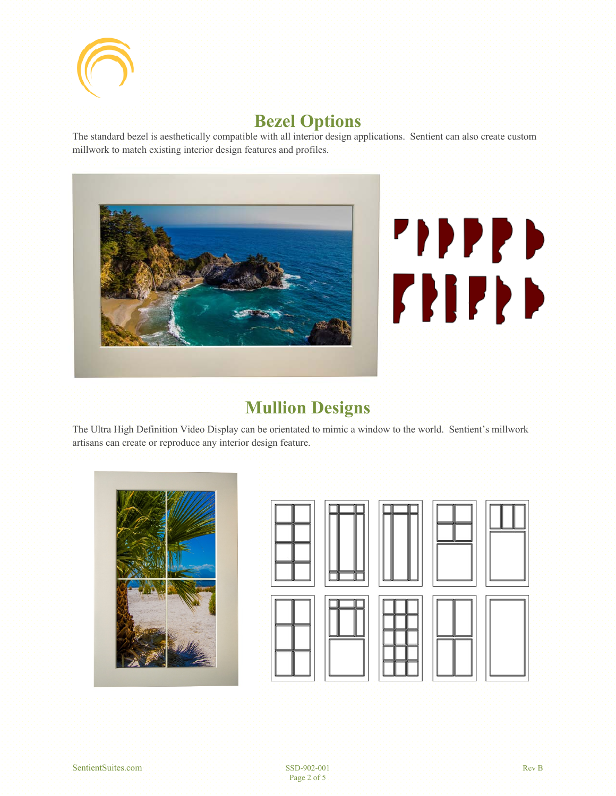

## **Bezel Options**

The standard bezel is aesthetically compatible with all interior design applications. Sentient can also create custom millwork to match existing interior design features and profiles.





### **Mullion Designs**

The Ultra High Definition Video Display can be orientated to mimic a window to the world. Sentient's millwork artisans can create or reproduce any interior design feature.



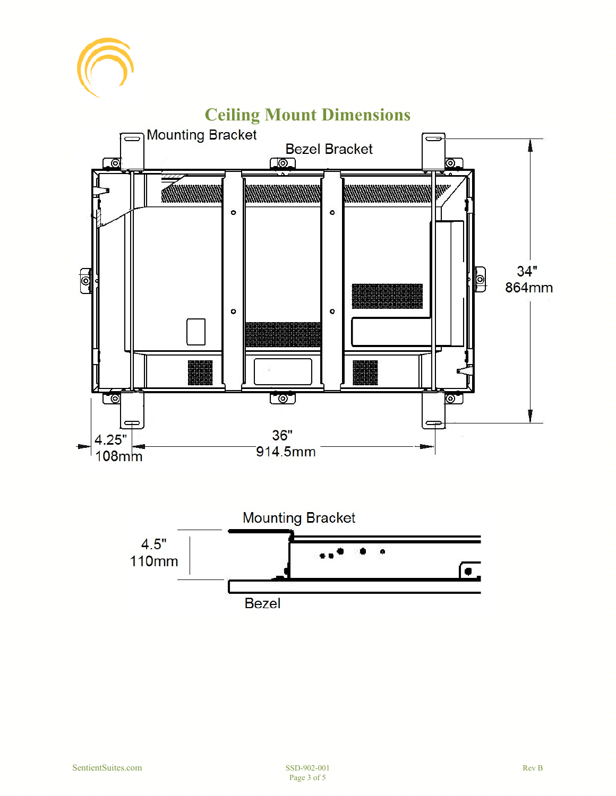



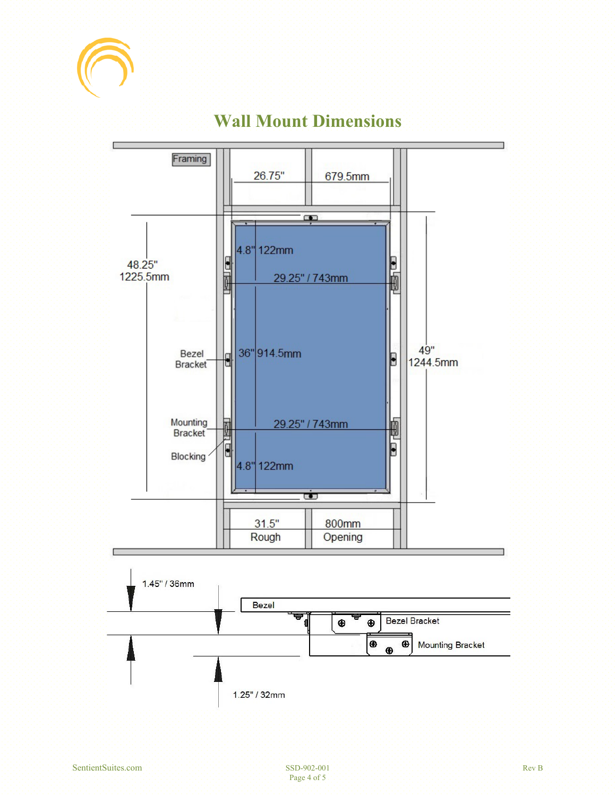



## **Wall Mount Dimensions**